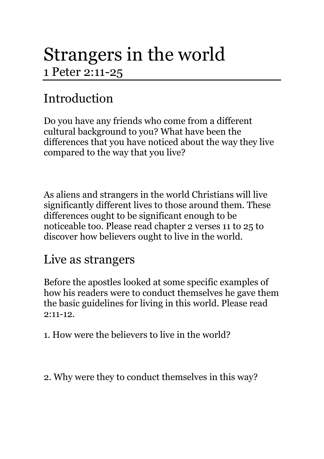# Strangers in the world 1 Peter 2:11-25

### Introduction

Do you have any friends who come from a different cultural background to you? What have been the differences that you have noticed about the way they live compared to the way that you live?

As aliens and strangers in the world Christians will live significantly different lives to those around them. These differences ought to be significant enough to be noticeable too. Please read chapter 2 verses 11 to 25 to discover how believers ought to live in the world.

#### Live as strangers

Before the apostles looked at some specific examples of how his readers were to conduct themselves he gave them the basic guidelines for living in this world. Please read  $9:11-12$ 

1. How were the believers to live in the world?

2. Why were they to conduct themselves in this way?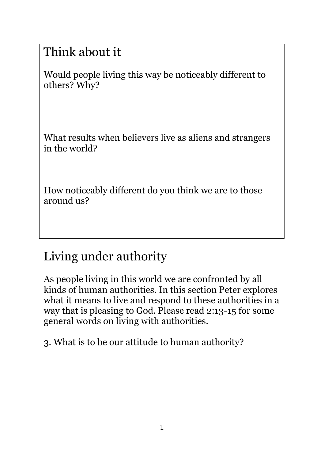### Think about it

Would people living this way be noticeably different to others? Why?

What results when believers live as aliens and strangers in the world?

How noticeably different do you think we are to those around us?

## Living under authority

As people living in this world we are confronted by all kinds of human authorities. In this section Peter explores what it means to live and respond to these authorities in a way that is pleasing to God. Please read 2:13-15 for some general words on living with authorities.

3. What is to be our attitude to human authority?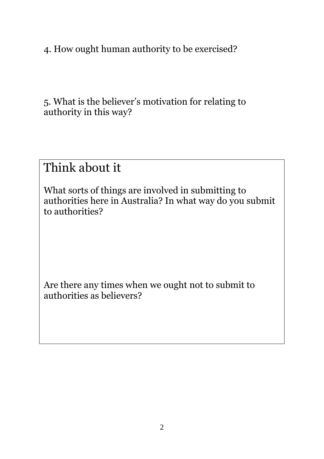4. How ought human authority to be exercised?

5. What is the believer's motivation for relating to authority in this way?

#### Think about it

What sorts of things are involved in submitting to authorities here in Australia? In what way do you submit to authorities?

Are there any times when we ought not to submit to authorities as believers?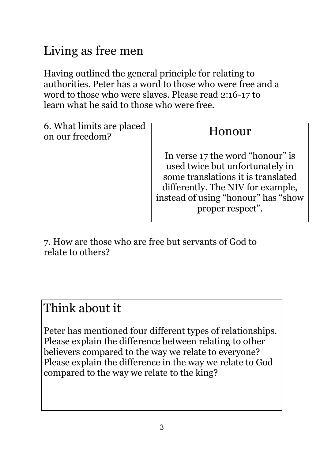### Living as free men

Having outlined the general principle for relating to authorities. Peter has a word to those who were free and a word to those who were slaves. Please read 2:16-17 to learn what he said to those who were free.

6. What limits are placed on our freedom?

#### Honour

In verse 17 the word "honour" is used twice but unfortunately in some translations it is translated differently. The NIV for example, instead of using "honour" has "show proper respect".

7. How are those who are free but servants of God to relate to others?

#### Think about it

Peter has mentioned four different types of relationships. Please explain the difference between relating to other believers compared to the way we relate to everyone? Please explain the difference in the way we relate to God compared to the way we relate to the king?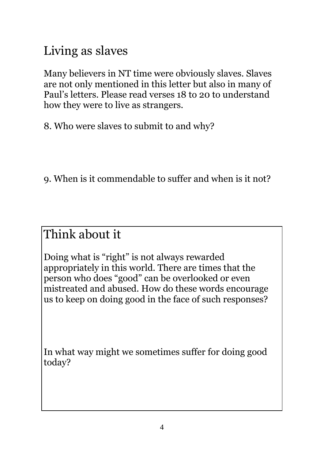### Living as slaves

Many believers in NT time were obviously slaves. Slaves are not only mentioned in this letter but also in many of Paul's letters. Please read verses 18 to 20 to understand how they were to live as strangers.

8. Who were slaves to submit to and why?

9. When is it commendable to suffer and when is it not?

#### Think about it

Doing what is "right" is not always rewarded appropriately in this world. There are times that the person who does "good" can be overlooked or even mistreated and abused. How do these words encourage us to keep on doing good in the face of such responses?

In what way might we sometimes suffer for doing good today?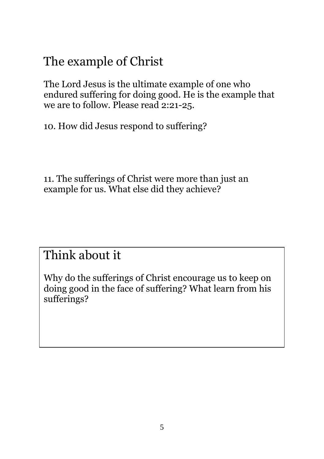### The example of Christ

The Lord Jesus is the ultimate example of one who endured suffering for doing good. He is the example that we are to follow. Please read 2:21-25.

10. How did Jesus respond to suffering?

11. The sufferings of Christ were more than just an example for us. What else did they achieve?

#### Think about it

Why do the sufferings of Christ encourage us to keep on doing good in the face of suffering? What learn from his sufferings?